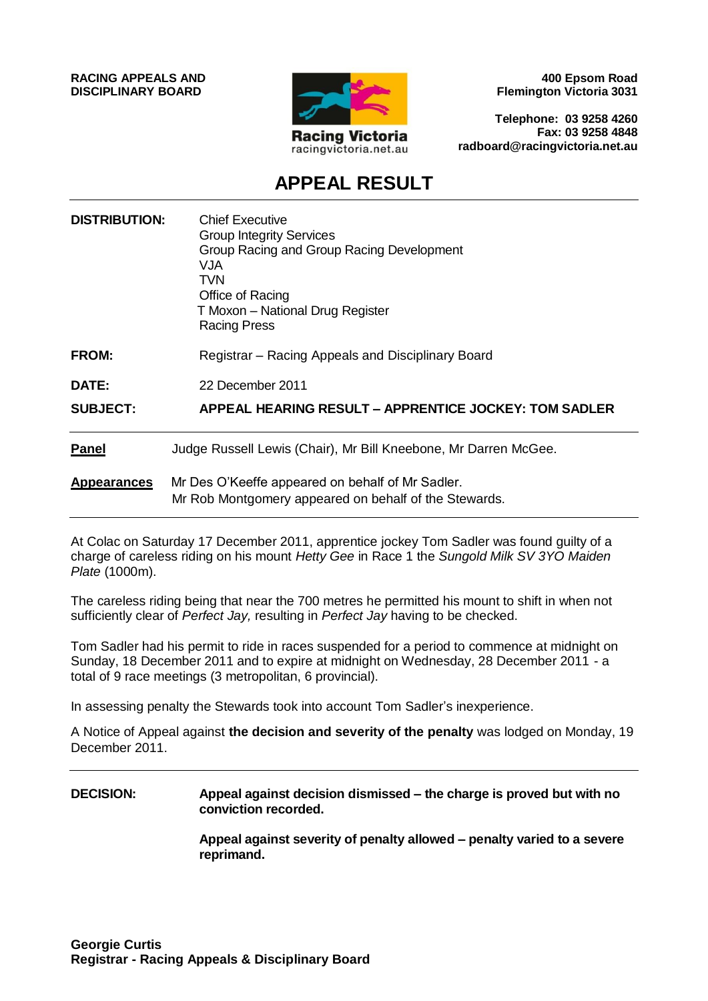**RACING APPEALS AND DISCIPLINARY BOARD**



**400 Epsom Road Flemington Victoria 3031**

**Telephone: 03 9258 4260 Fax: 03 9258 4848 radboard@racingvictoria.net.au**

# **APPEAL RESULT**

| <b>DISTRIBUTION:</b> | <b>Chief Executive</b><br><b>Group Integrity Services</b><br>Group Racing and Group Racing Development<br>VJA<br>TVN<br>Office of Racing<br>T Moxon - National Drug Register<br><b>Racing Press</b> |
|----------------------|-----------------------------------------------------------------------------------------------------------------------------------------------------------------------------------------------------|
| <b>FROM:</b>         | Registrar – Racing Appeals and Disciplinary Board                                                                                                                                                   |
| DATE:                | 22 December 2011                                                                                                                                                                                    |
| <b>SUBJECT:</b>      | <b>APPEAL HEARING RESULT – APPRENTICE JOCKEY: TOM SADLER</b>                                                                                                                                        |
| <b>Panel</b>         | Judge Russell Lewis (Chair), Mr Bill Kneebone, Mr Darren McGee.                                                                                                                                     |
| <b>Appearances</b>   | Mr Des O'Keeffe appeared on behalf of Mr Sadler.<br>Mr Rob Montgomery appeared on behalf of the Stewards.                                                                                           |

At Colac on Saturday 17 December 2011, apprentice jockey Tom Sadler was found guilty of a charge of careless riding on his mount *Hetty Gee* in Race 1 the *Sungold Milk SV 3YO Maiden Plate* (1000m).

The careless riding being that near the 700 metres he permitted his mount to shift in when not sufficiently clear of *Perfect Jay,* resulting in *Perfect Jay* having to be checked.

Tom Sadler had his permit to ride in races suspended for a period to commence at midnight on Sunday, 18 December 2011 and to expire at midnight on Wednesday, 28 December 2011 - a total of 9 race meetings (3 metropolitan, 6 provincial).

In assessing penalty the Stewards took into account Tom Sadler's inexperience.

A Notice of Appeal against **the decision and severity of the penalty** was lodged on Monday, 19 December 2011.

## **DECISION: Appeal against decision dismissed – the charge is proved but with no conviction recorded. Appeal against severity of penalty allowed – penalty varied to a severe reprimand.**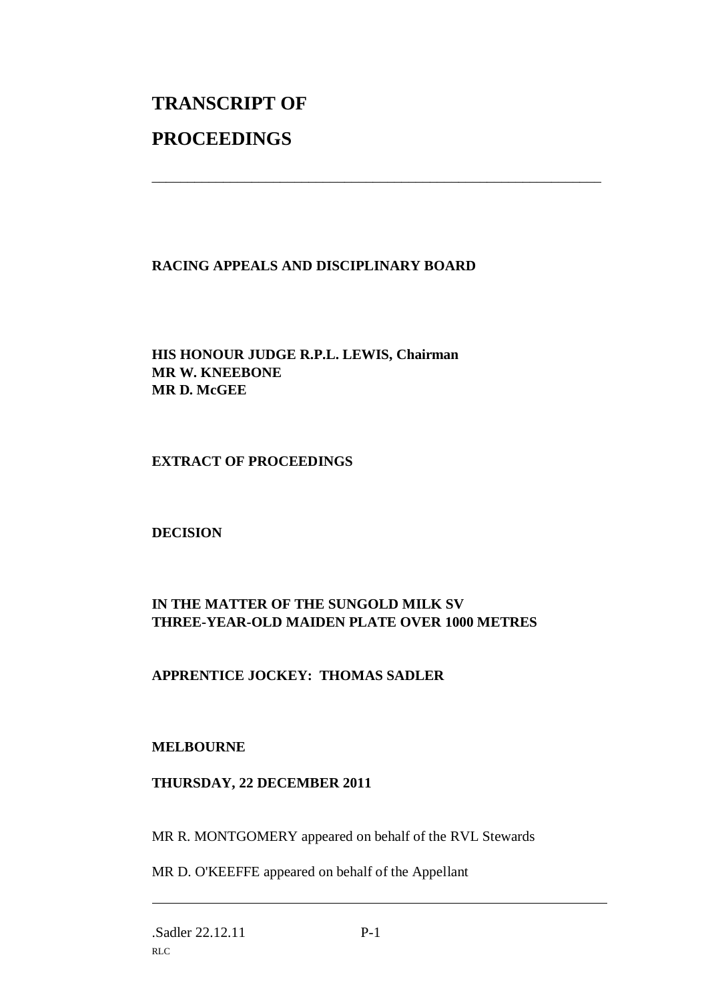# **TRANSCRIPT OF PROCEEDINGS**

#### **RACING APPEALS AND DISCIPLINARY BOARD**

\_\_\_\_\_\_\_\_\_\_\_\_\_\_\_\_\_\_\_\_\_\_\_\_\_\_\_\_\_\_\_\_\_\_\_\_\_\_\_\_\_\_\_\_\_\_\_\_\_\_\_\_\_\_\_\_\_\_\_\_\_\_\_

**HIS HONOUR JUDGE R.P.L. LEWIS, Chairman MR W. KNEEBONE MR D. McGEE**

#### **EXTRACT OF PROCEEDINGS**

**DECISION**

### **IN THE MATTER OF THE SUNGOLD MILK SV THREE-YEAR-OLD MAIDEN PLATE OVER 1000 METRES**

#### **APPRENTICE JOCKEY: THOMAS SADLER**

#### **MELBOURNE**

#### **THURSDAY, 22 DECEMBER 2011**

MR R. MONTGOMERY appeared on behalf of the RVL Stewards

MR D. O'KEEFFE appeared on behalf of the Appellant